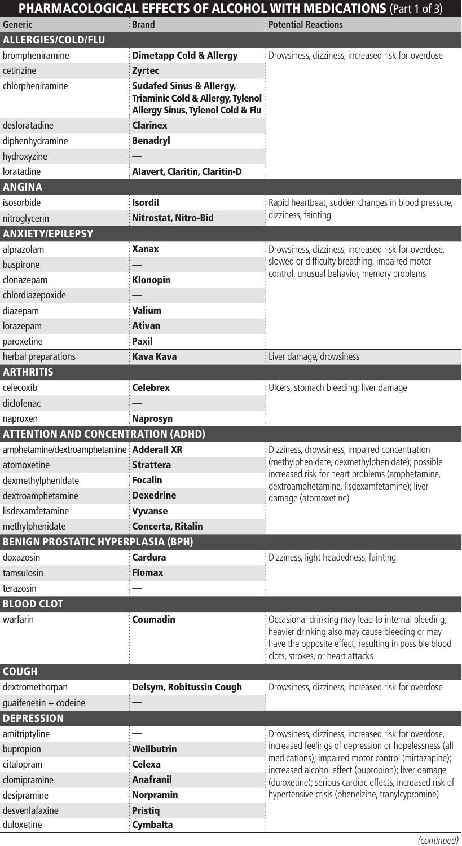## PHARMACOLOGICAL EFFECTS OF ALCOHOL WITH MEDICATIONS (Part 1 of 3) **Generic Brand Potential Reactions** ALLERGIES/COLD/FLU **brompheniramine Dimetapp Cold & Allergy** Drowsiness, dizziness, increased risk for overdose cetirizine **Zyrtec** chlorpheniramine Sudafed Sinus & Allergy, Triaminic Cold & Allergy, Tylenol Allergy Sinus, Tylenol Cold & Flu desloratadine **Clarinex** diphenhydramine **Benadryl** hydroxyzine loratadine **Alavert, Claritin, Claritin-D ANGINA** isosorbide **Isordil Rapid heartbeat, sudden changes in blood pressure,** nitroglycerin **Nitrostat, Nitro-Bid** Nitro-Bid dizziness, fainting ANXIETY/EPILEPSY alprazolam **Xanax Manax** Drowsiness, dizziness, increased risk for overdose, slowed or difficulty breathing, impaired motor buspirone entity breathing, impaired motors and the set of the state of the state of the state of the state of<br>control, unusual behavior, memory problems in the state of the state of the state of the state of the state of<br> clonazepam chlordiazepoxide diazepam Valium lorazepam **Ativan** paroxetine **Paxil** herbal preparations **Kava Kava Kava Kava Kava** Liver damage, drowsiness **ARTHRITIS** celecoxib Celebrex Celebrex Celebrex Celecoxib Celebrex Celecoxide Ulcers, stomach bleeding, liver damage diclofenac naproxen **Naprosyn** ATTENTION AND CONCENTRATION (ADHD) amphetamine/dextroamphetamine Adderall XR interval amphetamine/dextroamphetamine Adderall XR (methylphenidate, dexmethylphenidate); possible increased risk for heart problems (amphetamine, dextroamphetamine, lisdexamfetamine); liver damage (atomoxetine) atomoxetine **Strattera** dexmethylphenidate **Focalin** dextroamphetamine Dexedrine lisdexamfetamine **Vyvanse** methylphenidate **Concerta, Ritalin** BENIGN PROSTATIC HYPERPLASIA (BPH) doxazosin **Cardura Cardura Cardura Dizziness, light headedness, fainting** tamsulosin **Flomax** terazosin BLOOD CLOT warfarin **Coumadin Coumadin** Cocasional drinking may lead to internal bleeding; heavier drinking also may cause bleeding or may have the opposite effect, resulting in possible blood clots, strokes, or heart attacks COUGH dextromethorpan **Delsym, Robitussin Cough** Drowsiness, dizziness, increased risk for overdose  $quair fenesin + codeine$ **DEPRESSION** amitriptyline  $\frac{1}{2}$   $\frac{1}{2}$  Drowsiness, dizziness, increased risk for overdose, increased feelings of depression or hopelessness (all medications); impaired motor control (mirtazapine); increased alcohol effect (bupropion); liver damage (duloxetine); serious cardiac effects, increased risk of hypertensive crisis (phenelzine, tranylcypromine) bupropion **Wellbutrin** citalopram Celexa clomipramine **Anafranil** desipramine **Norpramin** desvenlafaxine **Pristiq**

duloxetine **Cymbalta**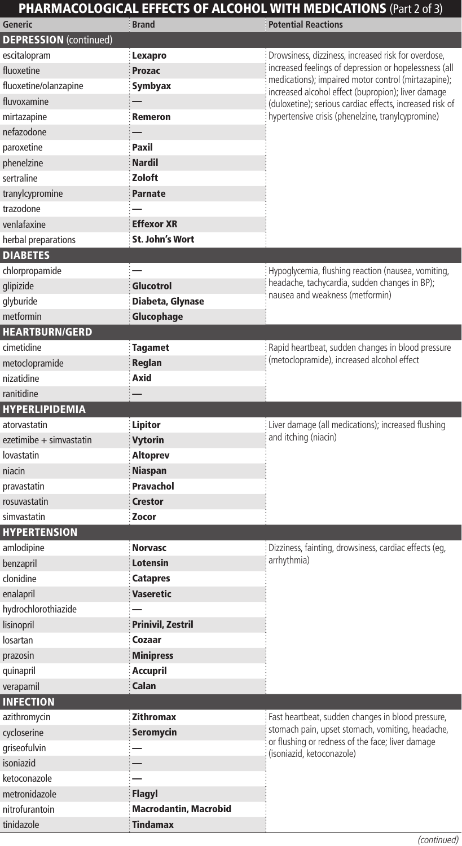## PHARMACOLOGICAL EFFECTS OF ALCOHOL WITH MEDICATIONS (Part 2 of 3)

| <b>Generic</b>                | <b>Brand</b>                 | <b>Potential Reactions</b>                                                                                                                                                                                                                                                                                                                 |
|-------------------------------|------------------------------|--------------------------------------------------------------------------------------------------------------------------------------------------------------------------------------------------------------------------------------------------------------------------------------------------------------------------------------------|
| <b>DEPRESSION</b> (continued) |                              |                                                                                                                                                                                                                                                                                                                                            |
| escitalopram                  | Lexapro                      | Drowsiness, dizziness, increased risk for overdose,<br>increased feelings of depression or hopelessness (all<br>medications); impaired motor control (mirtazapine);<br>increased alcohol effect (bupropion); liver damage<br>(duloxetine); serious cardiac effects, increased risk of<br>hypertensive crisis (phenelzine, tranylcypromine) |
| fluoxetine                    | <b>Prozac</b>                |                                                                                                                                                                                                                                                                                                                                            |
| fluoxetine/olanzapine         | Symbyax                      |                                                                                                                                                                                                                                                                                                                                            |
| fluvoxamine                   |                              |                                                                                                                                                                                                                                                                                                                                            |
| mirtazapine                   | <b>Remeron</b>               |                                                                                                                                                                                                                                                                                                                                            |
| nefazodone                    |                              |                                                                                                                                                                                                                                                                                                                                            |
| paroxetine                    | Paxil                        |                                                                                                                                                                                                                                                                                                                                            |
| phenelzine                    | <b>Nardil</b>                |                                                                                                                                                                                                                                                                                                                                            |
| sertraline                    | Zoloft                       |                                                                                                                                                                                                                                                                                                                                            |
| tranylcypromine               | <b>Parnate</b>               |                                                                                                                                                                                                                                                                                                                                            |
| trazodone                     |                              |                                                                                                                                                                                                                                                                                                                                            |
| venlafaxine                   | <b>Effexor XR</b>            |                                                                                                                                                                                                                                                                                                                                            |
| herbal preparations           | St. John's Wort              |                                                                                                                                                                                                                                                                                                                                            |
| <b>DIABETES</b>               |                              |                                                                                                                                                                                                                                                                                                                                            |
| chlorpropamide                |                              | Hypoglycemia, flushing reaction (nausea, vomiting,                                                                                                                                                                                                                                                                                         |
| glipizide                     | Glucotrol                    | headache, tachycardia, sudden changes in BP);                                                                                                                                                                                                                                                                                              |
| glyburide                     | Diabeta, Glynase             | nausea and weakness (metformin)                                                                                                                                                                                                                                                                                                            |
| metformin                     | Glucophage                   |                                                                                                                                                                                                                                                                                                                                            |
| <b>HEARTBURN/GERD</b>         |                              |                                                                                                                                                                                                                                                                                                                                            |
| cimetidine                    | <b>Tagamet</b>               | Rapid heartbeat, sudden changes in blood pressure                                                                                                                                                                                                                                                                                          |
| metoclopramide                | Reglan                       | (metoclopramide), increased alcohol effect                                                                                                                                                                                                                                                                                                 |
| nizatidine                    | Axid                         |                                                                                                                                                                                                                                                                                                                                            |
| ranitidine                    |                              |                                                                                                                                                                                                                                                                                                                                            |
| <b>HYPERLIPIDEMIA</b>         |                              |                                                                                                                                                                                                                                                                                                                                            |
| atorvastatin                  | Lipitor                      | Liver damage (all medications); increased flushing                                                                                                                                                                                                                                                                                         |
| ezetimibe + simvastatin       | Vytorin                      | and itching (niacin)                                                                                                                                                                                                                                                                                                                       |
| lovastatin                    |                              |                                                                                                                                                                                                                                                                                                                                            |
|                               | <b>Altoprev</b>              |                                                                                                                                                                                                                                                                                                                                            |
| niacin                        | <b>Niaspan</b>               |                                                                                                                                                                                                                                                                                                                                            |
| pravastatin                   | Pravachol                    |                                                                                                                                                                                                                                                                                                                                            |
| rosuvastatin                  | <b>Crestor</b>               |                                                                                                                                                                                                                                                                                                                                            |
| simvastatin                   | Zocor                        |                                                                                                                                                                                                                                                                                                                                            |
| <b>HYPERTENSION</b>           |                              |                                                                                                                                                                                                                                                                                                                                            |
| amlodipine                    | <b>Norvasc</b>               | Dizziness, fainting, drowsiness, cardiac effects (eg,                                                                                                                                                                                                                                                                                      |
| benzapril                     | Lotensin                     | arrhythmia)                                                                                                                                                                                                                                                                                                                                |
| clonidine                     | <b>Catapres</b>              |                                                                                                                                                                                                                                                                                                                                            |
| enalapril                     | <b>Vaseretic</b>             |                                                                                                                                                                                                                                                                                                                                            |
| hydrochlorothiazide           |                              |                                                                                                                                                                                                                                                                                                                                            |
| lisinopril                    | <b>Prinivil, Zestril</b>     |                                                                                                                                                                                                                                                                                                                                            |
| losartan                      | Cozaar                       |                                                                                                                                                                                                                                                                                                                                            |
| prazosin                      | <b>Minipress</b>             |                                                                                                                                                                                                                                                                                                                                            |
| quinapril                     | <b>Accupril</b>              |                                                                                                                                                                                                                                                                                                                                            |
| verapamil                     | Calan                        |                                                                                                                                                                                                                                                                                                                                            |
| <b>INFECTION</b>              |                              |                                                                                                                                                                                                                                                                                                                                            |
| azithromycin                  | <b>Zithromax</b>             | Fast heartbeat, sudden changes in blood pressure,                                                                                                                                                                                                                                                                                          |
| cycloserine                   | <b>Seromycin</b>             | stomach pain, upset stomach, vomiting, headache,<br>or flushing or redness of the face; liver damage<br>(isoniazid, ketoconazole)                                                                                                                                                                                                          |
| griseofulvin                  |                              |                                                                                                                                                                                                                                                                                                                                            |
| isoniazid                     |                              |                                                                                                                                                                                                                                                                                                                                            |
| ketoconazole                  |                              |                                                                                                                                                                                                                                                                                                                                            |
| metronidazole                 | Flagyl                       |                                                                                                                                                                                                                                                                                                                                            |
| nitrofurantoin                | <b>Macrodantin, Macrobid</b> |                                                                                                                                                                                                                                                                                                                                            |
| tinidazole                    | <b>Tindamax</b>              |                                                                                                                                                                                                                                                                                                                                            |